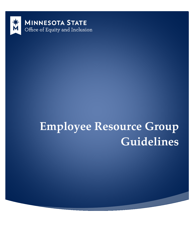

# **Employee Resource Group Guidelines**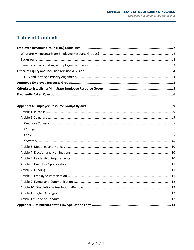# **Table of Contents**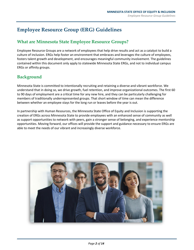# <span id="page-2-0"></span>**Employee Resource Group (ERG) Guidelines**

# <span id="page-2-1"></span>**What are Minnesota State Employee Resource Groups?**

Employee Resource Groups are a network of employees that help drive results and act as a catalyst to build a culture of inclusion. ERGs help foster an environment that embraces and leverages the culture of employees, fosters talent growth and development, and encourages meaningful community involvement. The guidelines contained within this document only apply to statewide Minnesota State ERGs, and not to individual campus ERGs or affinity groups.

# <span id="page-2-2"></span>**Background**

Minnesota State is committed to intentionally recruiting and retaining a diverse and vibrant workforce. We understand that in doing so, we drive growth, fuel retention, and improve organizational outcomes. The first 60 to 90 days of employment are a critical time for any new hire, and they can be particularly challenging for members of traditionally underrepresented groups. That short window of time can mean the difference between whether an employee stays for the long run or leaves before the year is out.

In partnership with Human Resources, the Minnesota State Office of Equity and Inclusion is supporting the creation of ERGs across Minnesota State to provide employees with an enhanced sense of community as well as support opportunities to network with peers, gain a stronger sense of belonging, and experience mentorship opportunities. Moving forward, our offices will provide the support and guidance necessary to ensure ERGs are able to meet the needs of our vibrant and increasingly diverse workforce.

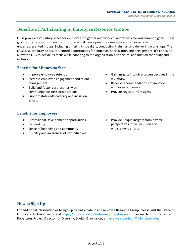# <span id="page-3-0"></span>**Benefits of Participating in Employee Resource Groups**

ERGs provide a voluntary space for employees to gather and work collaboratively toward common goals. These groups often co-sponsor events for professional development for employees of color or other underrepresented groups, including bringing in speakers, conducting trainings, and delivering workshops. The ERGs also can provide less structured opportunities for employee socialization and engagement. It's critical to allow the ERG to decide its focus while adhering to the organization's principles, and mission for equity and inclusion.

#### **Benefits for Minnesota State**

- Improve employee retention
- Increase employee engagement and talent management
- Build and foster partnerships with community business organizations
- Support statewide diversity and inclusion efforts

#### **Benefits for Employees**

- Professional Development opportunities
- Networking
- Sense of belonging and community
- Visibility and awareness of key initiatives
- Gain insights into diverse perspectives in the workforce
- Receive recommendations to improve employee outcomes
- Provide key cultural insights
- Provide unique insights from diverse perspectives, drive inclusion and engagement efforts

#### **How to Sign Up**

For additional information or to sign up to participate in an Employee Resource Group, please visit the Office of Equity and Inclusion website at<https://minnstate.edu/system/equity/glossary.html> or reach out to Tarrence Robertson, Project Director for Diversity, Equity, & Inclusion, a[t tarrence.robertson@minnstate.edu.](mailto:tarrence.robertson@minnstate.edu)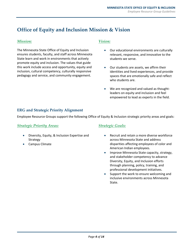# <span id="page-4-0"></span>**Office of Equity and Inclusion Mission & Vision**

#### *Mission:*

The Minnesota State Office of Equity and Inclusion ensures students, faculty, and staff across Minnesota State learn and work in environments that actively promote equity and inclusion. The values that guide this work include access and opportunity, equity and inclusion, cultural competency, culturally responsive pedagogy and service, and community engagement.

#### *Vision:*

- Our educational environments are culturally relevant, responsive, and innovative to the students we serve.
- Our students are assets, we affirm their identities and lived experiences, and provide spaces that are emotionally safe and reflect who students are.
- We are recognized and valued as thoughtleaders on equity and inclusion and feel empowered to lead as experts in the field.

#### <span id="page-4-1"></span>**ERG and Strategic Priority Alignment**

Employee Resource Groups support the following Office of Equity & Inclusion strategic priority areas and goals:

#### *Strategic Priority Areas:*

- Diversity, Equity, & Inclusion Expertise and Strategy
- Campus Climate

#### *Strategic Goals:*

- Recruit and retain a more diverse workforce across Minnesota State and address disparities affecting employees of color and American Indian employees.
- Improve Minnesota State capacity, strategy, and stakeholder competency to advance Diversity, Equity, and Inclusion efforts through planning, policy, training, and professional development initiatives.
- Support the work to ensure welcoming and inclusive environments across Minnesota State.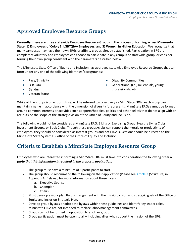# <span id="page-5-0"></span>**Approved Employee Resource Groups**

**Currently, there are three statewide Employee Resource Groups in the process of forming across Minnesota State: 1) Employees of Color; 2) LGBTQIA+ Employees; and 3) Womxn in Higher Education.** We recognize that many campuses may have their own ERGs or affinity groups already established. Participation in ERGs is completely voluntary and employees can choose to participate in any campus or statewide group, or consider forming their own group consistent with the parameters described below.

The Minnesota State Office of Equity and Inclusion has approved statewide Employee Resource Groups that can form under any one of the following identities/backgrounds:

- Race/Ethnicity
- LGBTQIA+
- Gender
- Veteran Status
- Disability Communities
- Generational (i.e., millennials, young professionals, etc.)

While all the groups (current or future) will be referred to collectively as MinnState ERGs, each group can maintain a name in accordance with the dimension of diversity it represents. MinnState ERGs cannot be formed around common interests or activities such as sports/hobbies, politics and other beliefs that do not align with or are outside the scope of the strategic vision of the Office of Equity and Inclusion.

The following would not be considered a MinnState ERG: Biking or Exercising Group, Healthy Living Clubs, Investment Groups, or Book Clubs. Though these groups/clubs can support the morale or productivity of employees, they should be considered as interest groups and not ERGs. Questions should be directed to the Minnesota State System HR office or the Office of Equity and Inclusion.

# <span id="page-5-1"></span>**Criteria to Establish a MinnState Employee Resource Group**

Employees who are interested in forming a MinnState ERG must take into consideration the following criteria *(note that this information is required in the proposal application)*:

- 1. The group must have a minimum of 5 participants to start.
- 2. The group should recommend the following on their application (Please se[e Article 2](#page-9-2) (Structure) in Appendix A (Bylaws), for more information about these roles):
	- a. Executive Sponsor
	- b. Champion
	- c. Chairs
- 3. Must develop a work plan that is in alignment with the mission, vision and strategic goals of the Office of Equity and Inclusion Strategic Plan.
- 4. Develop group bylaws or adopt the bylaws within these guidelines and identify key leader roles.
- 5. MinnState ERGs are not intended to replace labor/management committees.
- 6. Groups cannot be formed in opposition to another group.
- 7. Group participation must be open to all including allies who support the mission of the ERG.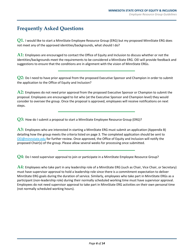# <span id="page-6-0"></span>**Frequently Asked Questions**

**Q1.** I would like to start a MinnState Employee Resource Group (ERG) but my proposed MinnState ERG does not meet any of the approved identities/backgrounds, what should I do?

**A1:** Employees are encouraged to contact the Office of Equity and Inclusion to discuss whether or not the identities/backgrounds meet the requirements to be considered a MinnState ERG. OEI will provide feedback and suggestions to ensure that the conditions are in alignment with the vision of MinnState ERGs.

**Q2:** Do I need to have prior approval from the proposed Executive Sponsor and Champion in order to submit the application to the Office of Equity and Inclusion?

**A2:** Employees do not need prior approval from the proposed Executive Sponsor or Champion to submit the proposal. Employees are encouraged to list who (at the Executive Sponsor and Champion level) they would consider to oversee the group. Once the proposal is approved, employees will receive notifications on next steps.

**Q3:** How do I submit a proposal to start a MinnState Employee Resource Group (ERG)?

**A3:** Employees who are interested in starting a MinnState ERG must submit an application (Appendix B) detailing how the group meets the criteria listed on page 3. The completed application should be sent to [OEI@minnstate.edu](mailto:OEI@minnstate.edu) for further review. Once approved, the Office of Equity and Inclusion will notify the proposed Chair(s) of the group. Please allow several weeks for processing once submitted.

**Q4:** Do I need supervisor approval to join or participate in a MinnState Employee Resource Group?

**A4:** Employees who take part in any leadership role of a MinnState ERG (such as Chair, Vice Chair, or Secretary) must have supervisor approval to hold a leadership role since there is a commitment expectation to deliver MinnState ERG goals during the duration of service. Similarly, employees who take part in MinnState ERGs as a participant (non-leadership role) during their normally scheduled working time must have supervisor approval. Employees do not need supervisor approval to take part in MinnState ERG activities on their own personal time (not normally scheduled working hours).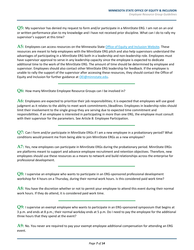**Q5:** My supervisor has denied my request to form and/or participate in a MinnState ERG. I am not on an oral or written performance plan to my knowledge and I have not received prior discipline. What can I do to rally my supervisor's support at this time?

**A5:** Employees can access resources on the Minnesota State [Office of Equity and Inclusion Website.](https://minnstate.edu/system/equity/index.html) These resources are meant to help employees with the MinnState ERG pitch and also help supervisors understand the advantages of participating in a MinnState ERG both in a leadership and non-leadership role. Employees must have supervisor approval to serve in any leadership capacity since the employee is expected to dedicate additional time to the work of the MinnState ERG. The amount of time should be determined by employee and supervisor. Employees should also contact other MinnState ERG leadership for feedback. If the employee is unable to rally the support of the supervisor after accessing these resources, they should contact the Office of Equity and Inclusion for further guidance at [OEI@minnstate.edu.](mailto:OEI@minnstate.edu)

**Q6:** How many MinnState Employee Resource Groups can I be involved in?

**A6:** Employees are expected to prioritize their job responsibilities; it is expected that employees will use good judgment as it relates to the ability to meet work commitments /deadlines. Employees in leadership roles should limit their involvement to the single group they are serving due to expected time commitment and responsibilities. If an employee is interested in participating in more than one ERG, the employee must consult with their supervisor for the parameters. See Article 8: Employee Participation.

**Q7:** Can I form and/or participate in MinnState ERGs if I am a new employee in a probationary period? What conditions would prevent me from being able to join MinnState ERGs as a new employee?

**A7:** Yes, new employees can participate in MinnState ERGs during the probationary period. MinnState ERGs are platforms meant to support and advance employee recruitment and retention objectives. Therefore, new employees should use these resources as a means to network and build relationships across the enterprise for professional development.

**Q8:** I supervise an employee who wants to participate in an ERG-sponsored professional development workshop for 4 hours on a Thursday, during their normal work hours. Is this considered paid work time?

**A8:** You have the discretion whether or not to permit your employee to attend this event during their normal work hours. If they do attend, it is considered paid work time.

**Q9:** I supervise an exempt employee who wants to participate in an ERG-sponsored symposium that begins at 3 p.m. and ends at 8 p.m.; their normal workday ends at 5 p.m. Do I need to pay the employee for the additional three hours that they spend at the event?

**A9:** No. You never are required to pay your exempt employee additional compensation for attending an ERG event.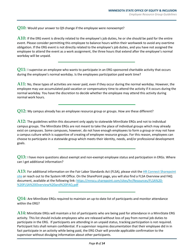**Q10:** Would your answer to Q9 change if the employee were nonexempt?

**A10:** If the ERG event is directly related to the employee's job duties, he or she should be paid for the entire event. Please consider permitting this employee to balance hours within their workweek to avoid any overtime obligation. If the ERG event is not directly related to the employee's job duties, and you have not assigned the employee to attend the event as a work assignment, the three hours that extend after the employee's normal workday will be unpaid.

**Q11:** I supervise an employee who wants to participate in an ERG-sponsored charitable activity that occurs during the employee's normal workday. Is the employees participation paid work time?

**A11:** No, these types of activities are never paid, even if they occur during the normal workday. However, the employee may use accumulated paid vacation or compensatory time to attend the activity if it occurs during the normal workday. You have the discretion to decide whether the employee may attend this activity during normal work hours.

**Q12:** My campus already has an employee resource group or groups. How are these different?

**A12:** The guidelines within this document only apply to statewide MinnState ERGs and not to individual campus groups. The MinnState ERGs are not meant to take the place of individual groups which may already exist on campuses. Some campuses, however, do not have enough employees to form a group or may not have a campus culture which is supportive of creating of employee resource groups. For this reason, employees can choose to participate in a statewide group which meets their identity, needs, and/or professional development goals.

**Q13:** I have more questions about exempt and non-exempt employee status and participation in ERGs. Where can I get additional information?

**A13:** For additional information on the Fair Labor Standards Act (FLSA), please visit the [HR Connect Sharepoint](https://mnscu.sharepoint.com/sites/hr/SitePages/topic.aspx?topicID=157&state=about)  [site](https://mnscu.sharepoint.com/sites/hr/SitePages/topic.aspx?topicID=157&state=about) or reach out to the System HR Office. On the SharePoint page, you will also find a FLSA Overview and FAQ document, available at the following link: [https://mnscu.sharepoint.com/sites/hr/Resources/FLSA%20-](https://mnscu.sharepoint.com/sites/hr/Resources/FLSA%20-%20FLSA%20Overview%20and%20FAQ.pdf) [%20FLSA%20Overview%20and%20FAQ.pdf](https://mnscu.sharepoint.com/sites/hr/Resources/FLSA%20-%20FLSA%20Overview%20and%20FAQ.pdf) 

**Q14:** Are MinnState ERGs required to maintain an up-to-date list of participants and monitor attendance within the ERG?

**A14:** MinnState ERGs will maintain a list of participants who are being paid for attendance in a MinnState ERG activity. This list should include employees who are released without loss of pay from normal job duties to participate in the ERG. If participants are attending in an unpaid status, tracking participation is not required. Participant lists shall remain confidential. If a supervisor requires documentation that their employee did in in fact participate in an activity while being paid, the ERG Chair will provide applicable confirmation to the supervisor without divulging information about other participants.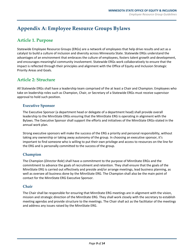# <span id="page-9-0"></span>**Appendix A: Employee Resource Groups Bylaws**

# <span id="page-9-1"></span>**Article 1. Purpose**

Statewide Employee Resource Groups (ERGs) are a network of employees that help drive results and act as a catalyst to build a culture of inclusion and diversity across Minnesota State. Statewide ERGs understand the advantages of an environment that embraces the culture of employees, fosters talent growth and development, and encourages meaningful community involvement. Statewide ERGs work collaboratively to ensure that the impact is reflected through their principles and alignment with the Office of Equity and Inclusion Strategic Priority Areas and Goals.

# <span id="page-9-2"></span>**Article 2: Structure**

All Statewide ERGs shall have a leadership team comprised of the at least a Chair and Champion. Employees who take on leadership roles such as Champion, Chair, or Secretary of a Statewide ERGs must receive supervisor approval to hold such position.

#### <span id="page-9-3"></span>**Executive Sponsor**

The Executive Sponsor (a department head or delegate of a department head) shall provide overall leadership to the MinnState ERGs ensuring that the MinnState ERG is operating in alignment with the Bylaws. The Executive Sponsor shall support the efforts and initiatives of the MinnState ERGs-stated in the annual work plan.

Strong executive sponsors will make the success of the ERG a priority and personal responsibility, without taking any ownership or taking away autonomy of the group. In choosing an executive sponsor, it's important to find someone who is willing to put their own privilege and access to resources on the line for the ERG and is personally committed to the success of the group.

#### <span id="page-9-4"></span>**Champion**

The Champion (*Director Role*) shall have a commitment to the purpose of MinnState ERGs and the commitment to advance the goals of recruitment and retention. They shall ensure that the goals of the MinnState ERG is carried out effectively and preside and/or arrange meetings, lead business planning, as well as oversee all business done by the MinnState ERG. The Champion shall also be the main point of contact for the MinnState ERG Executive Sponsor.

#### <span id="page-9-5"></span>**Chair**

The Chair shall be responsible for ensuring that MinnState ERG meetings are in alignment with the vision, mission and strategic direction of the MinnState ERG. They shall work closely with the secretary to establish meeting agendas and provide structure to the meetings. The Chair shall act as the facilitator of the meetings and address any issues raised by the MinnState ERG.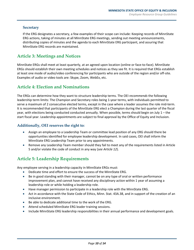#### <span id="page-10-0"></span>**Secretary**

If the ERG designates a secretary, a few examples of their scope can include: Keeping records of MinnState ERG actions, taking of minutes at all MinnState ERG meetings, sending out meeting announcements, distributing copies of minutes and the agenda to each MinnState ERG participant, and assuring that MinnState ERG records are maintained.

## <span id="page-10-1"></span>**Article 3: Meetings and Notices**

MinnState ERGs shall meet at least quarterly, at an agreed upon location (online or face-to-face). MinnState ERGs should establish their own meeting schedules and notices as they see fit. It is required that ERGs establish at least one mode of audio/video conferencing for participants who are outside of the region and/or off-site. Examples of audio or video tools are: Skype, Zoom, WebEx, etc.

## <span id="page-10-2"></span>**Article 4: Election and Nominations**

The ERGs can determine how they want to structure leadership terms. The OEI *recommends* the following leadership term limits: The Champion and Secretary roles being 1-year terms, with individuals permitted to serve a maximum of 2 consecutive elected terms, except in the case where a leader assumes the role mid-term. It is recommended that participants of the MinnState ERG elect a Champion during the last quarter of the fiscal year, with elections being conducted conducted annually. When possible, terms should begin on July 1 – the start fiscal year. Leadership appointments are subject to final approval by the Office of Equity and Inclusion.

#### **Additionally, OEI reserves the right to:**

- Assign an employee to a Leadership Team or committee lead position of any ERG should there be opportunities identified for employee leadership development. In said cases, OEI shall inform the MinnState ERG Leadership Team prior to any appointments.
- Remove any Leadership Team member should they fail to meet any of the requirements listed in Article 5 and/or violate the code of conduct in any way (*see Article 12*).

# <span id="page-10-3"></span>**Article 5: Leadership Requirements**

Any employee serving in a leadership capacity in MinnState ERGs must:

- Dedicate time and effort to ensure the success of the MinnState ERG.
- Be in good standing with their manager, cannot be on any type of oral or written performance improvement plan, and cannot have received any disciplinary action within 1 year of assuming a leadership role or while holding a leadership role.
- Have manager permission to participate in a leadership role with the MinnState ERG.
- Act in accordance with the State Code of Ethics, Minn. Stat. 43A.38, and in support of the creation of an inclusive environment.
- Be able to dedicate additional time to the work of the ERG.
- Attend scheduled MinnState ERG leader training sessions.
- Include MinnState ERG leadership responsibilities in their annual performance and development goals.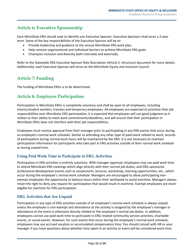## <span id="page-11-0"></span>**Article 6: Executive Sponsorship**

Each MinnState ERG should seek to identify one Executive Sponsor. Executive Sponsors shall serve a 2**-**year term. Some of the key responsibilities of the Executive Sponsor will be to:

- Provide leadership and guidance to the annual MinnState ERG work plan.
- Help remove organizational and individual barriers to achieve MinnState ERG goals.
- Champion inclusion and diversity both internally and externally.

Refer to the Statewide ERG Executive Sponsor Role Description (Article 2: Structure) document for more details. Additionally, each Executive Sponsor will serve on the MinnState Equity and Inclusion Council.

# <span id="page-11-1"></span>**Article 7: Funding**

The funding of MinnState ERGs is to be determined.

# <span id="page-11-2"></span>**Article 8: Employee Participation**

Participation in MinnState ERGs is completely voluntary and shall be open to all employees, including interns/student workers, trainees and temporary employees. All employees are expected to prioritize their job responsibilities over MinnState ERG participation; it is expected that employees will use good judgment as it relates to their ability to meet work commitments/deadlines, and will ensure that their participation in MinnState ERGs does not interfere with their job responsibilities.

Employees must receive approval from their manager prior to participating in any ERG events that occur during an employee's normal work schedule. Similar to attending any other type of paid event related to work, records of participation during normal work hours will be maintained by the ERG. It is not necessary to maintain participation information for participants who take part in ERG activities outside of their normal work schedule or during unpaid time.

#### **Using Paid Work Time to Participate in ERG Activities**

Participation in ERG activities is entirely voluntary. With manager approval, employees may use paid work time to attend MinnState ERG meetings which align directly with their normal job duties, and ERG-sponsored professional development events such as symposiums, lectures, workshops, learning opportunities, etc., which occur during the employee's normal work schedule. Managers are encouraged to allow participating nonexempt employees the opportunity to balance hours within their workweek to avoid overtime. Managers always retain the right to deny any request for participation that would result in overtime. Exempt employees are never eligible for overtime for ERG participation.

#### **ERG Activities that Are Unpaid**

Participation in any type of ERG activities outside of an employee's normal work schedule is always unpaid, unless the employee is non-exempt and attendance at the activity is assigned by the employee's manager or attendance at the event is otherwise directly related to the employee's normal job duties. In addition, employees cannot use paid work time to participate in ERG-related community service activities, charitable events, or social events. However, for such events that occur during the employee's normal work schedule, employees may use accrued vacation or accumulated compensatory time. You should consult with HR or your manager if you have questions about whether time spent in an activity or event will be considered work time.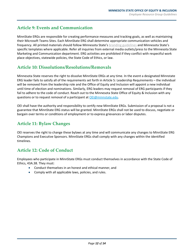## <span id="page-12-0"></span>**Article 9: Events and Communication**

MinnState ERGs are responsible for creating performance measures and tracking goals, as well as maintaining their Microsoft Teams Sites. Each MinnState ERG shall determine appropriate communication vehicles and frequency. All printed materials should follow Minnesota State's [branding guidelines](https://mnscu.sharepoint.com/sites/connect/SitePages/topic.aspx?topicID=12&state=resources) and Minnesota State's specific templates where applicable. Refer all inquiries from external media outlets/press to the Minnesota State Marketing and Communication department. ERG activities are prohibited if they conflict with respectful work place objectives, statewide policies, the State Code of Ethics, or law.

# <span id="page-12-1"></span>**Article 10: Dissolutions/Resolutions/Removals**

Minnesota State reserves the right to dissolve MinnState ERGs at any time. In the event a designated Minnstate ERG leader fails to satisfy all of the requirements set forth in Article 5: Leadership Requirements – the individual will be removed from the leadership role and the Office of Equity and Inclusion will appoint a new individual until time of election and nominations. Similarly, ERG leaders may request removal of ERG participants if they fail to adhere to the code of conduct. Reach out to the Minnesota State Office of Equity & Inclusion with any questions or to request removal of a participant at [OEI@minnstate.edu.](mailto:OEI@minnstate.edu)

OEI shall have the authority and responsibility to certify new MinnState ERGs. Submission of a proposal is not a guarantee that MinnState ERG status will be granted. MinnState ERGs shall not be used to discuss, negotiate or bargain over terms or conditions of employment or to express grievances or labor disputes.

# <span id="page-12-2"></span>**Article 11: Bylaw Changes**

OEI reserves the right to change these bylaws at any time and will communicate any changes to MinnState ERG Champions and Executive Sponsors. MinnState ERGs shall comply with any changes within the identified timelines.

# <span id="page-12-3"></span>**Article 12: Code of Conduct**

Employees who participate in MinnState ERGs must conduct themselves in accordance with the State Code of Ethics, 43A.38. They must:

- Conduct themselves in an honest and ethical manner, and
- Comply with all applicable laws, policies, and rules.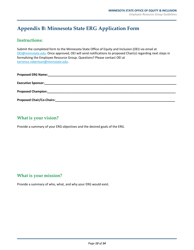# <span id="page-13-0"></span>**Appendix B: Minnesota State ERG Application Form**

## **Instructions:**

Submit the completed form to the Minnesota State Office of Equity and Inclusion (OEI) via email at [OEI@minnstate.edu.](mailto:OEI@minnstate.edu) Once approved, OEI will send notifications to proposed Chair(s) regarding next steps in formalizing the Employee Resource Group. Questions? Please contact OEI at [tarrence.robertson@minnstate.edu.](mailto:tarrence.robertson@minnstate.edu)

| <b>Proposed ERG Name:</b>        |  |  |
|----------------------------------|--|--|
|                                  |  |  |
| <b>Proposed Champion:</b>        |  |  |
| <b>Proposed Chair/Co-Chairs:</b> |  |  |

# **What is your vision?**

Provide a summary of your ERG objectives and the desired goals of the ERG.

## **What is your mission?**

Provide a summary of who, what, and why your ERG would exist.